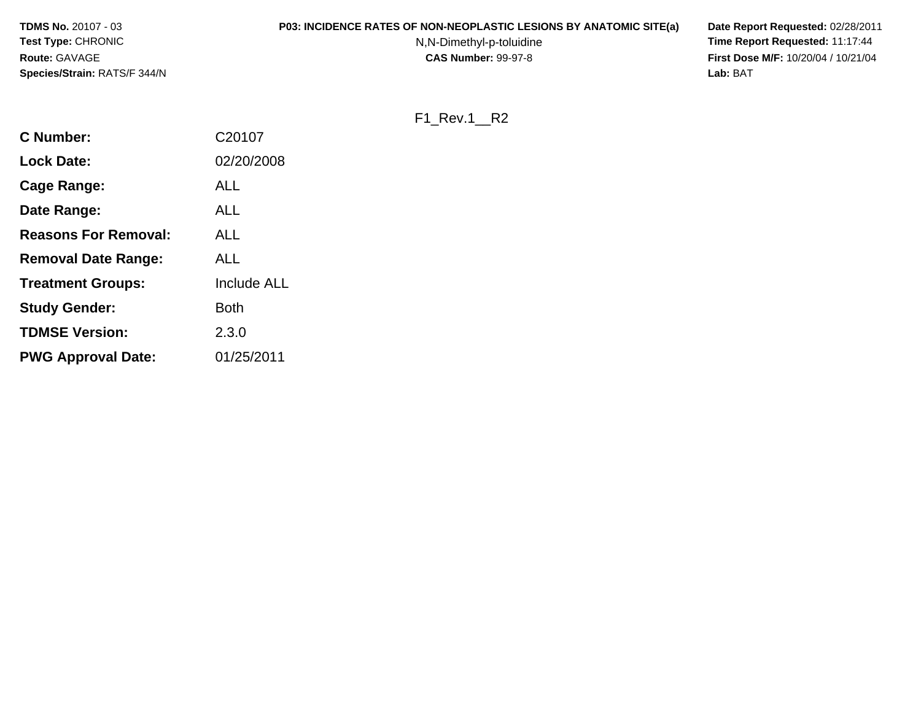| <b>TDMS No. 20107 - 03</b>          | <b>P03: INCIDENCE RATES OF NON-NEOPLASTIC LESIONS BY ANATOMIC SITE(a)</b> | Date Report Requested: 02/28/2011          |
|-------------------------------------|---------------------------------------------------------------------------|--------------------------------------------|
| <b>Test Type: CHRONIC</b>           | N,N-Dimethyl-p-toluidine                                                  | Time Report Requested: 11:17:44            |
| <b>Route: GAVAGE</b>                | <b>CAS Number: 99-97-8</b>                                                | <b>First Dose M/F: 10/20/04 / 10/21/04</b> |
| <b>Species/Strain: RATS/F 344/N</b> |                                                                           | Lab: BAT                                   |

F1\_Rev.1\_\_R2

| <b>C</b> Number:            | C20107             |
|-----------------------------|--------------------|
| <b>Lock Date:</b>           | 02/20/2008         |
| Cage Range:                 | ALL                |
| Date Range:                 | ALL                |
| <b>Reasons For Removal:</b> | ALL                |
| <b>Removal Date Range:</b>  | ALL                |
| <b>Treatment Groups:</b>    | <b>Include ALL</b> |
| <b>Study Gender:</b>        | <b>Both</b>        |
| <b>TDMSE Version:</b>       | 2.3.0              |
| <b>PWG Approval Date:</b>   | 01/25/2011         |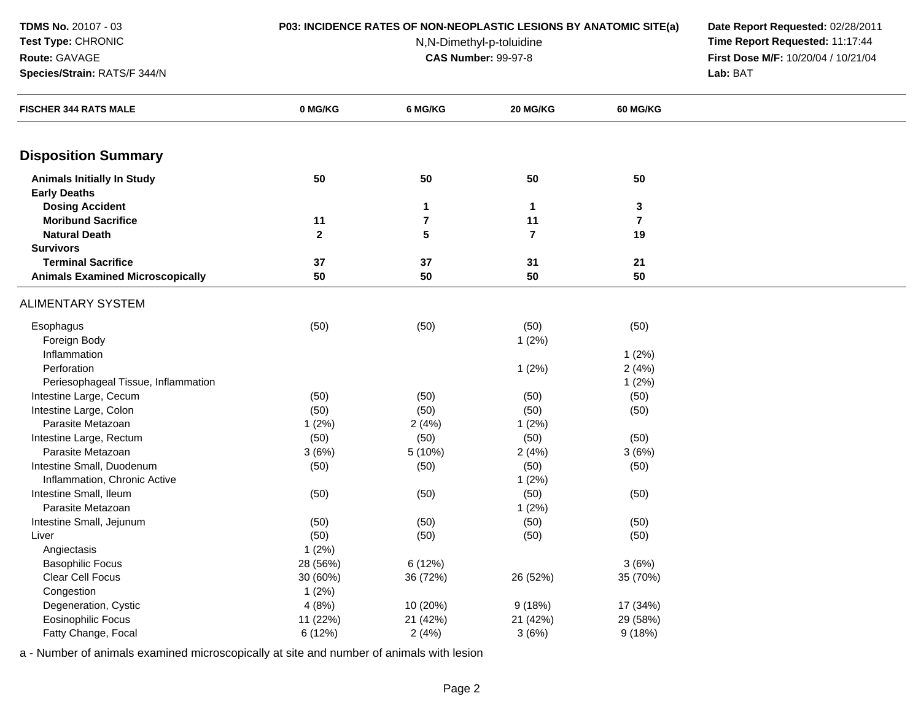**Route:** GAVAGE

**Test Type:** CHRONIC

**Species/Strain:** RATS/F 344/N

## **P03: INCIDENCE RATES OF NON-NEOPLASTIC LESIONS BY ANATOMIC SITE(a) Date Report Requested:** 02/28/2011

N,N-Dimethyl-p-toluidine

 **Time Report Requested:** 11:17:44 **First Dose M/F:** 10/20/04 / 10/21/04<br>**Lab:** BAT **Lab:** BAT

| <b>FISCHER 344 RATS MALE</b>            | 0 MG/KG      | 6 MG/KG      | 20 MG/KG                | 60 MG/KG       |  |
|-----------------------------------------|--------------|--------------|-------------------------|----------------|--|
| <b>Disposition Summary</b>              |              |              |                         |                |  |
| <b>Animals Initially In Study</b>       | 50           | 50           | 50                      | 50             |  |
| <b>Early Deaths</b>                     |              |              |                         |                |  |
| <b>Dosing Accident</b>                  |              | $\mathbf{1}$ | $\blacktriangleleft$    | $\mathbf 3$    |  |
| <b>Moribund Sacrifice</b>               | 11           | $\bf 7$      | 11                      | $\overline{7}$ |  |
| <b>Natural Death</b>                    | $\mathbf{2}$ | 5            | $\overline{\mathbf{r}}$ | 19             |  |
| <b>Survivors</b>                        |              |              |                         |                |  |
| <b>Terminal Sacrifice</b>               | 37           | 37           | 31                      | 21             |  |
| <b>Animals Examined Microscopically</b> | 50           | 50           | 50                      | 50             |  |
| <b>ALIMENTARY SYSTEM</b>                |              |              |                         |                |  |
| Esophagus                               | (50)         | (50)         | (50)                    | (50)           |  |
| Foreign Body                            |              |              | 1(2%)                   |                |  |
| Inflammation                            |              |              |                         | $1(2\%)$       |  |
| Perforation                             |              |              | 1(2%)                   | 2(4%)          |  |
| Periesophageal Tissue, Inflammation     |              |              |                         | 1(2%)          |  |
| Intestine Large, Cecum                  | (50)         | (50)         | (50)                    | (50)           |  |
| Intestine Large, Colon                  | (50)         | (50)         | (50)                    | (50)           |  |
| Parasite Metazoan                       | 1(2%)        | 2(4%)        | 1(2%)                   |                |  |
| Intestine Large, Rectum                 | (50)         | (50)         | (50)                    | (50)           |  |
| Parasite Metazoan                       | 3(6%)        | 5 (10%)      | 2(4%)                   | 3(6%)          |  |
| Intestine Small, Duodenum               | (50)         | (50)         | (50)                    | (50)           |  |
| Inflammation, Chronic Active            |              |              | 1(2%)                   |                |  |
| Intestine Small, Ileum                  | (50)         | (50)         | (50)                    | (50)           |  |
| Parasite Metazoan                       |              |              | 1(2%)                   |                |  |
| Intestine Small, Jejunum                | (50)         | (50)         | (50)                    | (50)           |  |
| Liver                                   | (50)         | (50)         | (50)                    | (50)           |  |
| Angiectasis                             | 1(2%)        |              |                         |                |  |
| <b>Basophilic Focus</b>                 | 28 (56%)     | 6 (12%)      |                         | 3(6%)          |  |
| <b>Clear Cell Focus</b>                 | 30 (60%)     | 36 (72%)     | 26 (52%)                | 35 (70%)       |  |
| Congestion                              | 1(2%)        |              |                         |                |  |
| Degeneration, Cystic                    | 4(8%)        | 10 (20%)     | 9(18%)                  | 17 (34%)       |  |
| Eosinophilic Focus                      | 11 (22%)     | 21 (42%)     | 21 (42%)                | 29 (58%)       |  |
| Fatty Change, Focal                     | 6 (12%)      | 2(4%)        | 3(6%)                   | 9(18%)         |  |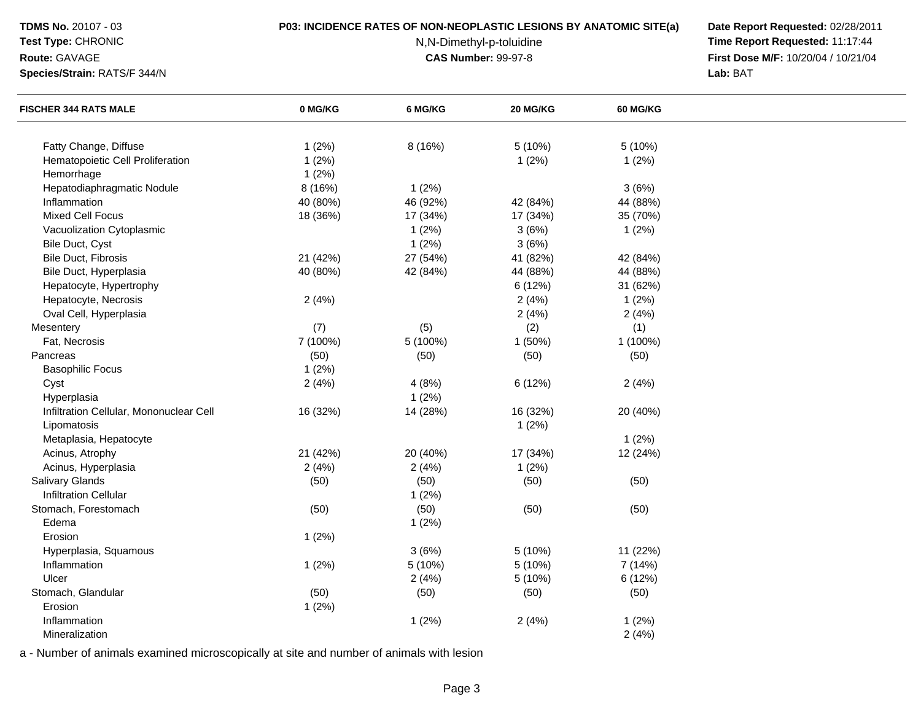## **Test Type:** CHRONIC

#### **Route:** GAVAGE

**Species/Strain:** RATS/F 344/N

## **P03: INCIDENCE RATES OF NON-NEOPLASTIC LESIONS BY ANATOMIC SITE(a) Date Report Requested:** 02/28/2011

N,N-Dimethyl-p-toluidine

 **Time Report Requested:** 11:17:44 **First Dose M/F:** 10/20/04 / 10/21/04<br>**Lab:** BAT **Lab:** BAT

| <b>FISCHER 344 RATS MALE</b>            | 0 MG/KG  | 6 MG/KG  | 20 MG/KG | <b>60 MG/KG</b> |  |
|-----------------------------------------|----------|----------|----------|-----------------|--|
| Fatty Change, Diffuse                   | 1(2%)    | 8 (16%)  | 5 (10%)  | 5(10%)          |  |
| Hematopoietic Cell Proliferation        | 1(2%)    |          | 1(2%)    | 1(2%)           |  |
| Hemorrhage                              | 1(2%)    |          |          |                 |  |
| Hepatodiaphragmatic Nodule              | 8 (16%)  | 1(2%)    |          | 3(6%)           |  |
| Inflammation                            | 40 (80%) | 46 (92%) | 42 (84%) | 44 (88%)        |  |
| <b>Mixed Cell Focus</b>                 |          |          |          | 35 (70%)        |  |
|                                         | 18 (36%) | 17 (34%) | 17 (34%) |                 |  |
| Vacuolization Cytoplasmic               |          | 1(2%)    | 3(6%)    | 1(2%)           |  |
| Bile Duct, Cyst                         |          | 1(2%)    | 3(6%)    |                 |  |
| Bile Duct, Fibrosis                     | 21 (42%) | 27 (54%) | 41 (82%) | 42 (84%)        |  |
| Bile Duct, Hyperplasia                  | 40 (80%) | 42 (84%) | 44 (88%) | 44 (88%)        |  |
| Hepatocyte, Hypertrophy                 |          |          | 6 (12%)  | 31 (62%)        |  |
| Hepatocyte, Necrosis                    | 2(4%)    |          | 2(4%)    | 1(2%)           |  |
| Oval Cell, Hyperplasia                  |          |          | 2(4%)    | 2(4%)           |  |
| Mesentery                               | (7)      | (5)      | (2)      | (1)             |  |
| Fat, Necrosis                           | 7 (100%) | 5 (100%) | 1 (50%)  | 1 (100%)        |  |
| Pancreas                                | (50)     | (50)     | (50)     | (50)            |  |
| <b>Basophilic Focus</b>                 | 1(2%)    |          |          |                 |  |
| Cyst                                    | 2(4%)    | 4(8%)    | 6 (12%)  | 2(4%)           |  |
| Hyperplasia                             |          | 1(2%)    |          |                 |  |
| Infiltration Cellular, Mononuclear Cell | 16 (32%) | 14 (28%) | 16 (32%) | 20 (40%)        |  |
| Lipomatosis                             |          |          | 1(2%)    |                 |  |
| Metaplasia, Hepatocyte                  |          |          |          | 1(2%)           |  |
| Acinus, Atrophy                         | 21 (42%) | 20 (40%) | 17 (34%) | 12 (24%)        |  |
| Acinus, Hyperplasia                     | 2(4%)    | 2(4%)    | 1(2%)    |                 |  |
| Salivary Glands                         | (50)     | (50)     | (50)     | (50)            |  |
| <b>Infiltration Cellular</b>            |          | 1(2%)    |          |                 |  |
| Stomach, Forestomach                    | (50)     | (50)     | (50)     | (50)            |  |
| Edema                                   |          | 1(2%)    |          |                 |  |
| Erosion                                 | 1(2%)    |          |          |                 |  |
| Hyperplasia, Squamous                   |          | 3(6%)    | 5 (10%)  | 11 (22%)        |  |
| Inflammation                            | 1(2%)    | 5 (10%)  | 5(10%)   | 7 (14%)         |  |
| Ulcer                                   |          | 2(4%)    | 5(10%)   | 6(12%)          |  |
| Stomach, Glandular                      | (50)     | (50)     | (50)     | (50)            |  |
| Erosion                                 | 1(2%)    |          |          |                 |  |
| Inflammation                            |          | 1(2%)    | 2(4%)    | 1(2%)           |  |
| Mineralization                          |          |          |          | 2(4%)           |  |
|                                         |          |          |          |                 |  |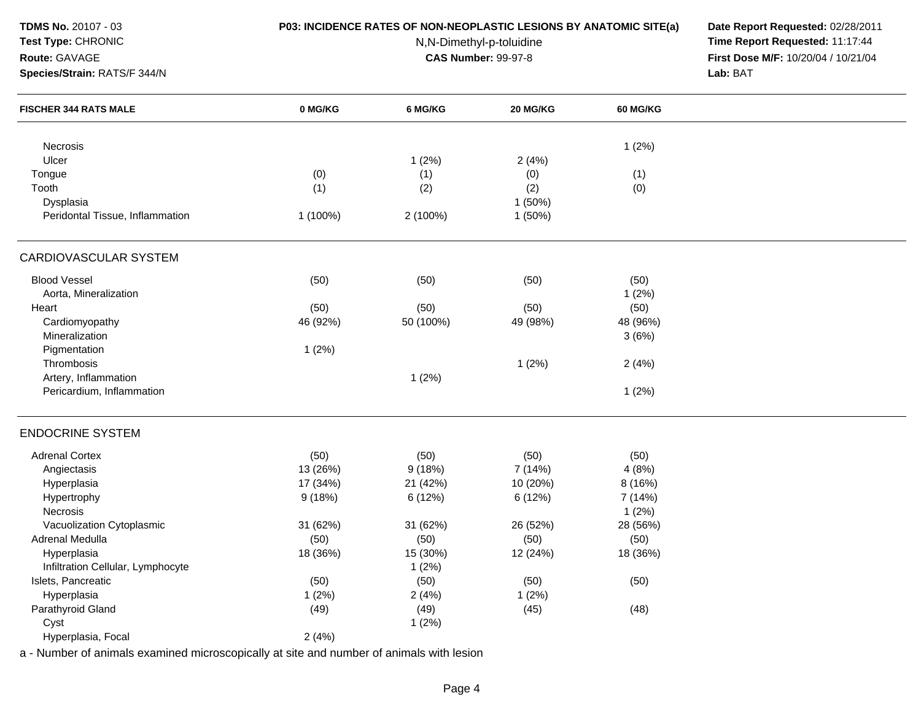| TDMS No. 20107 - 03<br>Test Type: CHRONIC<br>Route: GAVAGE<br>Species/Strain: RATS/F 344/N | P03: INCIDENCE RATES OF NON-NEOPLASTIC LESIONS BY ANATOMIC SITE(a) | Date Report Requested: 02/28/2011<br>Time Report Requested: 11:17:44<br>First Dose M/F: 10/20/04 / 10/21/04<br>Lab: BAT |           |                 |  |
|--------------------------------------------------------------------------------------------|--------------------------------------------------------------------|-------------------------------------------------------------------------------------------------------------------------|-----------|-----------------|--|
| <b>FISCHER 344 RATS MALE</b>                                                               | 0 MG/KG                                                            | 6 MG/KG                                                                                                                 | 20 MG/KG  | <b>60 MG/KG</b> |  |
| Necrosis                                                                                   |                                                                    |                                                                                                                         |           | 1(2%)           |  |
| Ulcer                                                                                      |                                                                    | 1(2%)                                                                                                                   | 2(4%)     |                 |  |
| Tongue                                                                                     | (0)                                                                | (1)                                                                                                                     | (0)       | (1)             |  |
| Tooth                                                                                      | (1)                                                                | (2)                                                                                                                     | (2)       | (0)             |  |
| Dysplasia                                                                                  |                                                                    |                                                                                                                         | $1(50\%)$ |                 |  |
| Peridontal Tissue, Inflammation                                                            | 1 (100%)                                                           | 2 (100%)                                                                                                                | 1(50%)    |                 |  |
| CARDIOVASCULAR SYSTEM                                                                      |                                                                    |                                                                                                                         |           |                 |  |
| <b>Blood Vessel</b>                                                                        | (50)                                                               | (50)                                                                                                                    | (50)      | (50)            |  |
| Aorta, Mineralization                                                                      |                                                                    |                                                                                                                         |           | 1(2%)           |  |
| Heart                                                                                      | (50)                                                               | (50)                                                                                                                    | (50)      | (50)            |  |
| Cardiomyopathy                                                                             | 46 (92%)                                                           | 50 (100%)                                                                                                               | 49 (98%)  | 48 (96%)        |  |
| Mineralization                                                                             |                                                                    |                                                                                                                         |           | 3(6%)           |  |
| Pigmentation                                                                               | 1(2%)                                                              |                                                                                                                         |           |                 |  |
| Thrombosis                                                                                 |                                                                    |                                                                                                                         | 1(2%)     | 2(4%)           |  |
| Artery, Inflammation                                                                       |                                                                    | 1(2%)                                                                                                                   |           |                 |  |
| Pericardium, Inflammation                                                                  |                                                                    |                                                                                                                         |           | 1(2%)           |  |
| <b>ENDOCRINE SYSTEM</b>                                                                    |                                                                    |                                                                                                                         |           |                 |  |
| <b>Adrenal Cortex</b>                                                                      | (50)                                                               | (50)                                                                                                                    | (50)      | (50)            |  |
| Angiectasis                                                                                | 13 (26%)                                                           | 9(18%)                                                                                                                  | 7 (14%)   | 4(8%)           |  |
| Hyperplasia                                                                                | 17 (34%)                                                           | 21 (42%)                                                                                                                | 10 (20%)  | 8 (16%)         |  |
| Hypertrophy                                                                                | 9(18%)                                                             | 6(12%)                                                                                                                  | 6 (12%)   | 7 (14%)         |  |
| Necrosis                                                                                   |                                                                    |                                                                                                                         |           | 1(2%)           |  |
| Vacuolization Cytoplasmic                                                                  | 31 (62%)                                                           | 31 (62%)                                                                                                                | 26 (52%)  | 28 (56%)        |  |
| Adrenal Medulla                                                                            | (50)                                                               | (50)                                                                                                                    | (50)      | (50)            |  |
| Hyperplasia                                                                                | 18 (36%)                                                           | 15 (30%)                                                                                                                | 12 (24%)  | 18 (36%)        |  |
| Infiltration Cellular, Lymphocyte                                                          |                                                                    | 1(2%)                                                                                                                   |           |                 |  |
| Islets, Pancreatic                                                                         | (50)                                                               | (50)                                                                                                                    | (50)      | (50)            |  |
| Hyperplasia                                                                                | 1(2%)                                                              | 2(4%)                                                                                                                   | 1(2%)     |                 |  |
| Parathyroid Gland                                                                          | (49)                                                               | (49)                                                                                                                    | (45)      | (48)            |  |
| Cyst                                                                                       |                                                                    | 1(2%)                                                                                                                   |           |                 |  |
| Hyperplasia, Focal                                                                         | 2(4%)                                                              |                                                                                                                         |           |                 |  |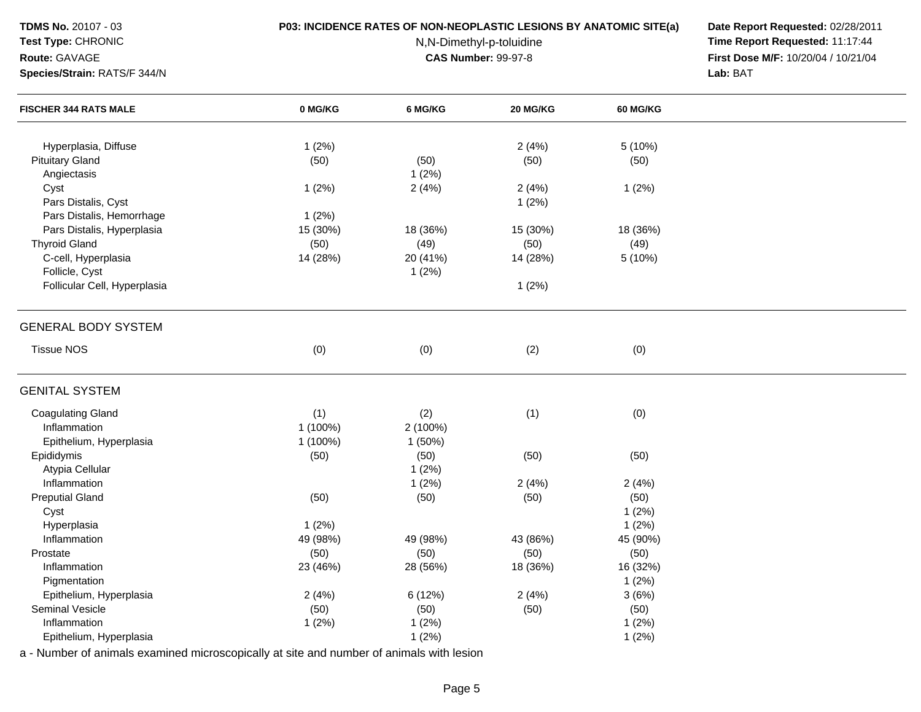Hyperplasia, Diffusee 2 (4%)  $1(2\%)$ Pituitary Glandd (50) (50) (50) (50) (50) (50) (50) Angiectasiss  $1 (2\%)$ Cystt the contract of  $1(2\%)$  $2(4\%)$  2 (4%)  $2(4\%)$  1 (2%) Pars Distalis, Cystt the contract of  $1 (2\%)$ Pars Distalis, Hemorrhage $1 (2%)$ <br>15 (30%) Pars Distalis, Hyperplasia 15 (30%) 18 (36%) 15 (30%) 18 (36%) Thyroid Glandd (50) (50) (49) (50) (49) (50) (49) C-cell, Hyperplasia 14 (28%) 20 (41%) 14 (28%) 5 (10%) Follicle, Cystt the contract of  $1(2\%)$ Follicular Cell, Hyperplasiaa and  $1 (2\%)$ GENERAL BODY SYSTEMTissue NOSS (0)  $(0)$   $(0)$   $(2)$   $(0)$ GENITAL SYSTEMCoagulating Glandd (1) (2) (1) (0) Inflammationn 1 (100%) 2 (100%) Epithelium, Hyperplasia 1 (100%) 1 (50%) Epididymiss (50)  $(50)$  (50)  $(50)$  (50)  $(50)$  (50) Atypia Cellular**1** (2%) Inflammationn  $1(2%)$   $2(4%)$   $2(4%)$ Preputial Glandd (50) (50) (50) (50) (50) (50) (50) Cystt the contract of  $1(2\%)$ Hyperplasiaa and  $1 (2\%)$ Inflammation 49 (98%) 49 (98%) 43 (86%) 45 (90%) Prostate (50) (50) (50) (50) Inflammation 23 (46%) 28 (56%) 18 (36%) 16 (32%) **Pigmentation** n  $1(2\%)$ Epithelium, Hyperplasiaa  $2(4\%)$  6 (12%)  $2(4\%)$  2 (4%) 3 (6%) Seminal Vesicle (50) (50) (50) (50) Inflammationn  $1 (2\%)$  1 (2%)  $1 (2\%)$  1 (2%)  $1 (2\%)$ Epithelium, Hyperplasiaa and  $1 (2\%)$  1 (2%) **Test Type:** CHRONIC N,N-Dimethyl-p-toluidine **Time Report Requested:** 11:17:44 **Route:** GAVAGE**First Dose M/F:** 10/20/04 / 10/21/04<br>**Lab:** BAT **Species/Strain:** RATS/F 344/N **Lab:** BAT **FISCHER 344 RATS MALE 0 MG/KG6 MG/KG 20 MG/KG 60 MG/KG**

**P03: INCIDENCE RATES OF NON-NEOPLASTIC LESIONS BY ANATOMIC SITE(a) Date Report Requested:** 02/28/2011

a - Number of animals examined microscopically at site and number of animals with lesion

**TDMS No.** 20107 - 03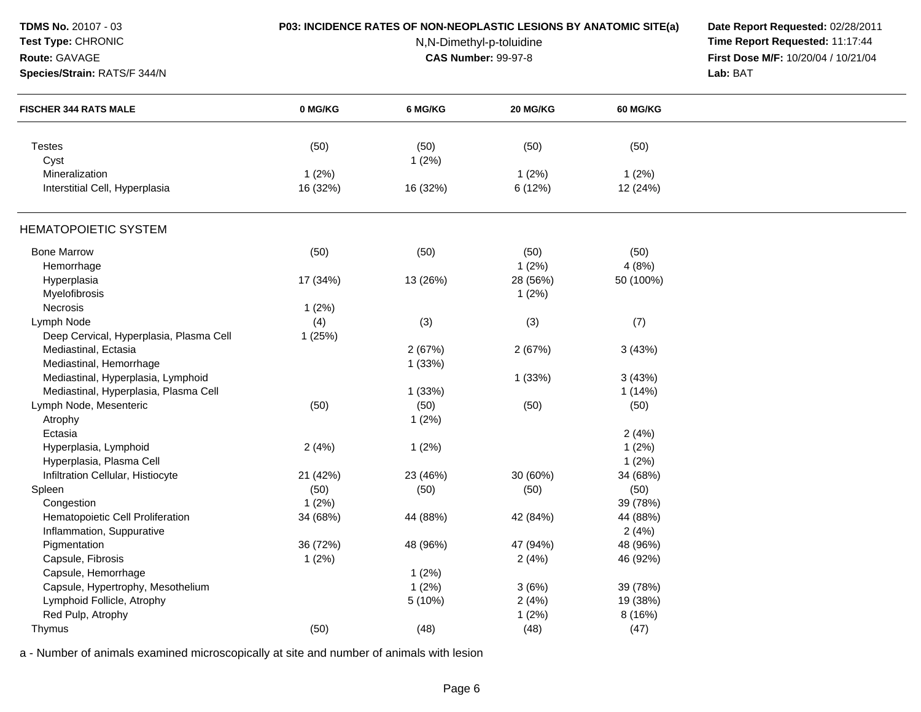| TDMS No. 20107 - 03                     |          | P03: INCIDENCE RATES OF NON-NEOPLASTIC LESIONS BY ANATOMIC SITE(a) | Date Report Requested: 02/28/2011   |                                 |          |
|-----------------------------------------|----------|--------------------------------------------------------------------|-------------------------------------|---------------------------------|----------|
| Test Type: CHRONIC                      |          | N,N-Dimethyl-p-toluidine                                           |                                     | Time Report Requested: 11:17:44 |          |
| Route: GAVAGE                           |          | <b>CAS Number: 99-97-8</b>                                         | First Dose M/F: 10/20/04 / 10/21/04 |                                 |          |
| Species/Strain: RATS/F 344/N            |          |                                                                    |                                     |                                 | Lab: BAT |
| <b>FISCHER 344 RATS MALE</b>            | 0 MG/KG  | 6 MG/KG                                                            | <b>20 MG/KG</b>                     | <b>60 MG/KG</b>                 |          |
| <b>Testes</b>                           | (50)     | (50)                                                               | (50)                                | (50)                            |          |
| Cyst                                    |          | 1(2%)                                                              |                                     |                                 |          |
| Mineralization                          | 1(2%)    |                                                                    | 1(2%)                               | 1(2%)                           |          |
| Interstitial Cell, Hyperplasia          | 16 (32%) | 16 (32%)                                                           | 6 (12%)                             | 12 (24%)                        |          |
| <b>HEMATOPOIETIC SYSTEM</b>             |          |                                                                    |                                     |                                 |          |
| <b>Bone Marrow</b>                      | (50)     | (50)                                                               | (50)                                | (50)                            |          |
| Hemorrhage                              |          |                                                                    | 1(2%)                               | 4(8%)                           |          |
| Hyperplasia                             | 17 (34%) | 13 (26%)                                                           | 28 (56%)                            | 50 (100%)                       |          |
| Myelofibrosis                           |          |                                                                    | 1(2%)                               |                                 |          |
| Necrosis                                | 1(2%)    |                                                                    |                                     |                                 |          |
| Lymph Node                              | (4)      | (3)                                                                | (3)                                 | (7)                             |          |
| Deep Cervical, Hyperplasia, Plasma Cell | 1(25%)   |                                                                    |                                     |                                 |          |
| Mediastinal, Ectasia                    |          | 2(67%)                                                             | 2(67%)                              | 3(43%)                          |          |
| Mediastinal, Hemorrhage                 |          | 1(33%)                                                             |                                     |                                 |          |
| Mediastinal, Hyperplasia, Lymphoid      |          |                                                                    | 1(33%)                              | 3(43%)                          |          |
| Mediastinal, Hyperplasia, Plasma Cell   |          | 1(33%)                                                             |                                     | 1(14%)                          |          |
| Lymph Node, Mesenteric                  | (50)     | (50)                                                               | (50)                                | (50)                            |          |
| Atrophy                                 |          | 1(2%)                                                              |                                     |                                 |          |
| Ectasia                                 |          |                                                                    |                                     | 2(4%)                           |          |
| Hyperplasia, Lymphoid                   | 2(4%)    | 1(2%)                                                              |                                     | 1(2%)                           |          |
| Hyperplasia, Plasma Cell                |          |                                                                    |                                     | 1(2%)                           |          |
| Infiltration Cellular, Histiocyte       | 21 (42%) | 23 (46%)                                                           | 30 (60%)                            | 34 (68%)                        |          |
| Spleen                                  | (50)     | (50)                                                               | (50)                                | (50)                            |          |
| Congestion                              | 1(2%)    |                                                                    |                                     | 39 (78%)                        |          |
| Hematopoietic Cell Proliferation        | 34 (68%) | 44 (88%)                                                           | 42 (84%)                            | 44 (88%)                        |          |
| Inflammation, Suppurative               |          |                                                                    |                                     | 2(4%)                           |          |
| Pigmentation                            | 36 (72%) | 48 (96%)                                                           | 47 (94%)                            | 48 (96%)                        |          |
| Capsule, Fibrosis                       | 1(2%)    |                                                                    | 2(4%)                               | 46 (92%)                        |          |
| Capsule, Hemorrhage                     |          | 1(2%)                                                              |                                     |                                 |          |
| Capsule, Hypertrophy, Mesothelium       |          | 1(2%)                                                              | 3(6%)                               | 39 (78%)                        |          |
| Lymphoid Follicle, Atrophy              |          | 5(10%)                                                             | 2(4%)                               | 19 (38%)                        |          |
| Red Pulp, Atrophy                       |          |                                                                    | 1(2%)                               | 8 (16%)                         |          |
| Thymus                                  | (50)     | (48)                                                               | (48)                                | (47)                            |          |
|                                         |          |                                                                    |                                     |                                 |          |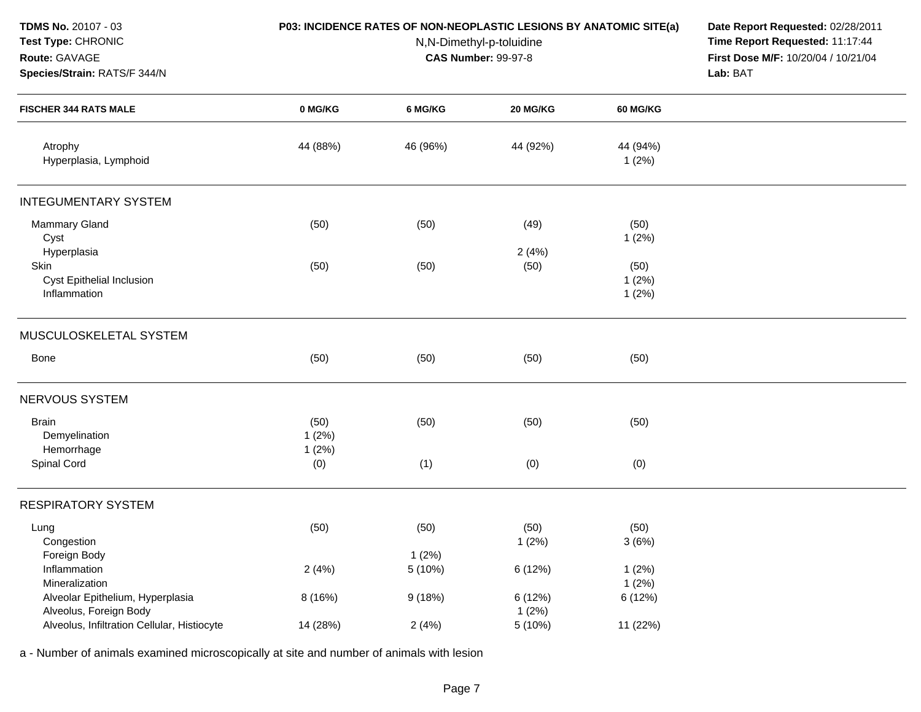| <b>TDMS No. 20107 - 03</b><br>Test Type: CHRONIC<br>Route: GAVAGE<br>Species/Strain: RATS/F 344/N | <b>P03: INCIDENCE RATES OF NON-NEOPLASTIC LESIONS BY ANATOMIC SITE(a)</b> | Date Report Requested: 02/28/2011<br>Time Report Requested: 11:17:44<br>First Dose M/F: 10/20/04 / 10/21/04<br>Lab: BAT |                  |                        |  |
|---------------------------------------------------------------------------------------------------|---------------------------------------------------------------------------|-------------------------------------------------------------------------------------------------------------------------|------------------|------------------------|--|
| <b>FISCHER 344 RATS MALE</b>                                                                      | 0 MG/KG                                                                   | 6 MG/KG                                                                                                                 | 20 MG/KG         | <b>60 MG/KG</b>        |  |
| Atrophy<br>Hyperplasia, Lymphoid                                                                  | 44 (88%)                                                                  | 46 (96%)                                                                                                                | 44 (92%)         | 44 (94%)<br>1(2%)      |  |
| <b>INTEGUMENTARY SYSTEM</b>                                                                       |                                                                           |                                                                                                                         |                  |                        |  |
| Mammary Gland<br>Cyst                                                                             | (50)                                                                      | (50)                                                                                                                    | (49)             | (50)<br>1(2%)          |  |
| Hyperplasia<br>Skin<br><b>Cyst Epithelial Inclusion</b><br>Inflammation                           | (50)                                                                      | (50)                                                                                                                    | 2(4%)<br>(50)    | (50)<br>1(2%)<br>1(2%) |  |
| MUSCULOSKELETAL SYSTEM                                                                            |                                                                           |                                                                                                                         |                  |                        |  |
| Bone                                                                                              | (50)                                                                      | (50)                                                                                                                    | (50)             | (50)                   |  |
| NERVOUS SYSTEM                                                                                    |                                                                           |                                                                                                                         |                  |                        |  |
| <b>Brain</b><br>Demyelination<br>Hemorrhage                                                       | (50)<br>1(2%)<br>1(2%)                                                    | (50)                                                                                                                    | (50)             | (50)                   |  |
| Spinal Cord                                                                                       | (0)                                                                       | (1)                                                                                                                     | (0)              | (0)                    |  |
| <b>RESPIRATORY SYSTEM</b>                                                                         |                                                                           |                                                                                                                         |                  |                        |  |
| Lung<br>Congestion                                                                                | (50)                                                                      | (50)                                                                                                                    | (50)<br>1(2%)    | (50)<br>3(6%)          |  |
| Foreign Body<br>Inflammation<br>Mineralization                                                    | 2(4%)                                                                     | 1(2%)<br>5 (10%)                                                                                                        | 6 (12%)          | 1(2%)<br>1(2%)         |  |
| Alveolar Epithelium, Hyperplasia<br>Alveolus, Foreign Body                                        | 8 (16%)                                                                   | 9(18%)                                                                                                                  | 6 (12%)<br>1(2%) | 6 (12%)                |  |
| Alveolus, Infiltration Cellular, Histiocyte                                                       | 14 (28%)                                                                  | 2(4%)                                                                                                                   | 5 (10%)          | 11 (22%)               |  |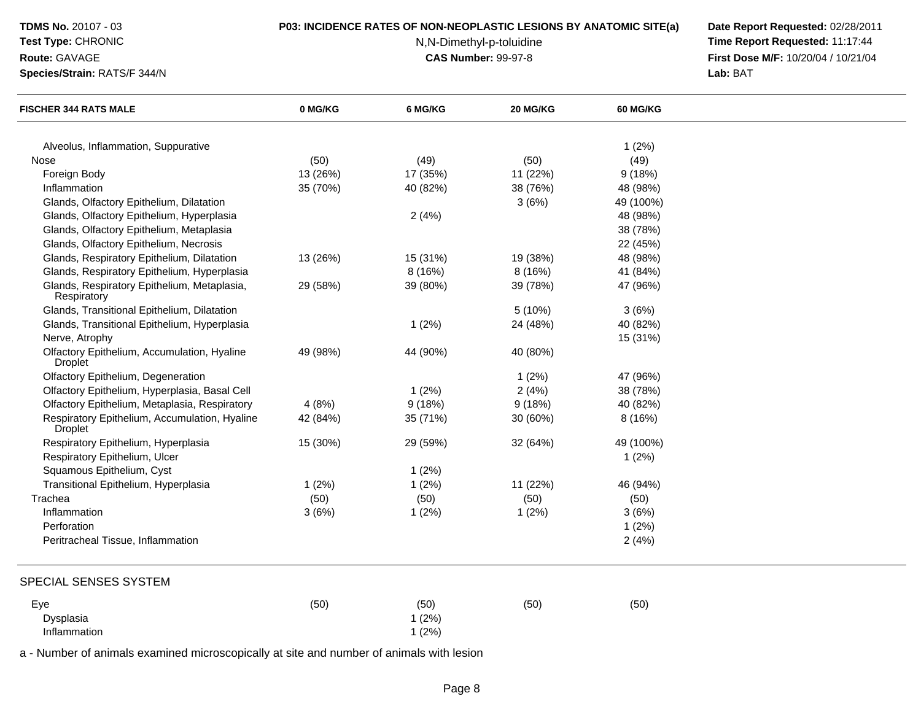# **Test Type:** CHRONIC

#### **Route:** GAVAGE

**Species/Strain:** RATS/F 344/N

## **P03: INCIDENCE RATES OF NON-NEOPLASTIC LESIONS BY ANATOMIC SITE(a) Date Report Requested:** 02/28/2011

N,N-Dimethyl-p-toluidine

 **Time Report Requested:** 11:17:44 **First Dose M/F:** 10/20/04 / 10/21/04<br>**Lab:** BAT **Lab:** BAT

| <b>FISCHER 344 RATS MALE</b>                                                          | 0 MG/KG  | 6 MG/KG  | 20 MG/KG | <b>60 MG/KG</b> |  |
|---------------------------------------------------------------------------------------|----------|----------|----------|-----------------|--|
|                                                                                       |          |          |          |                 |  |
| Alveolus, Inflammation, Suppurative<br>Nose                                           | (50)     | (49)     | (50)     | 1(2%)<br>(49)   |  |
|                                                                                       | 13 (26%) | 17 (35%) | 11 (22%) | 9(18%)          |  |
| Foreign Body<br>Inflammation                                                          | 35 (70%) | 40 (82%) | 38 (76%) | 48 (98%)        |  |
| Glands, Olfactory Epithelium, Dilatation                                              |          |          | 3(6%)    | 49 (100%)       |  |
|                                                                                       |          |          |          | 48 (98%)        |  |
| Glands, Olfactory Epithelium, Hyperplasia<br>Glands, Olfactory Epithelium, Metaplasia |          | 2(4%)    |          | 38 (78%)        |  |
|                                                                                       |          |          |          |                 |  |
| Glands, Olfactory Epithelium, Necrosis                                                |          |          |          | 22 (45%)        |  |
| Glands, Respiratory Epithelium, Dilatation                                            | 13 (26%) | 15 (31%) | 19 (38%) | 48 (98%)        |  |
| Glands, Respiratory Epithelium, Hyperplasia                                           |          | 8 (16%)  | 8(16%)   | 41 (84%)        |  |
| Glands, Respiratory Epithelium, Metaplasia,<br>Respiratory                            | 29 (58%) | 39 (80%) | 39 (78%) | 47 (96%)        |  |
| Glands, Transitional Epithelium, Dilatation                                           |          |          | 5 (10%)  | 3(6%)           |  |
| Glands, Transitional Epithelium, Hyperplasia                                          |          | 1(2%)    | 24 (48%) | 40 (82%)        |  |
| Nerve, Atrophy                                                                        |          |          |          | 15 (31%)        |  |
| Olfactory Epithelium, Accumulation, Hyaline<br><b>Droplet</b>                         | 49 (98%) | 44 (90%) | 40 (80%) |                 |  |
| Olfactory Epithelium, Degeneration                                                    |          |          | 1(2%)    | 47 (96%)        |  |
| Olfactory Epithelium, Hyperplasia, Basal Cell                                         |          | 1(2%)    | 2(4%)    | 38 (78%)        |  |
| Olfactory Epithelium, Metaplasia, Respiratory                                         | 4(8%)    | 9(18%)   | 9(18%)   | 40 (82%)        |  |
| Respiratory Epithelium, Accumulation, Hyaline<br><b>Droplet</b>                       | 42 (84%) | 35 (71%) | 30 (60%) | 8 (16%)         |  |
| Respiratory Epithelium, Hyperplasia                                                   | 15 (30%) | 29 (59%) | 32 (64%) | 49 (100%)       |  |
| Respiratory Epithelium, Ulcer                                                         |          |          |          | 1(2%)           |  |
| Squamous Epithelium, Cyst                                                             |          | 1(2%)    |          |                 |  |
| Transitional Epithelium, Hyperplasia                                                  | 1(2%)    | 1(2%)    | 11 (22%) | 46 (94%)        |  |
| Trachea                                                                               | (50)     | (50)     | (50)     | (50)            |  |
| Inflammation                                                                          | 3(6%)    | 1(2%)    | 1(2%)    | 3(6%)           |  |
| Perforation                                                                           |          |          |          | 1(2%)           |  |
| Peritracheal Tissue, Inflammation                                                     |          |          |          | 2(4%)           |  |
| SPECIAL SENSES SYSTEM                                                                 |          |          |          |                 |  |
|                                                                                       |          |          |          |                 |  |
| Eye                                                                                   | (50)     | (50)     | (50)     | (50)            |  |
| Dysplasia                                                                             |          | 1(2%)    |          |                 |  |
| Inflammation                                                                          |          | 1(2%)    |          |                 |  |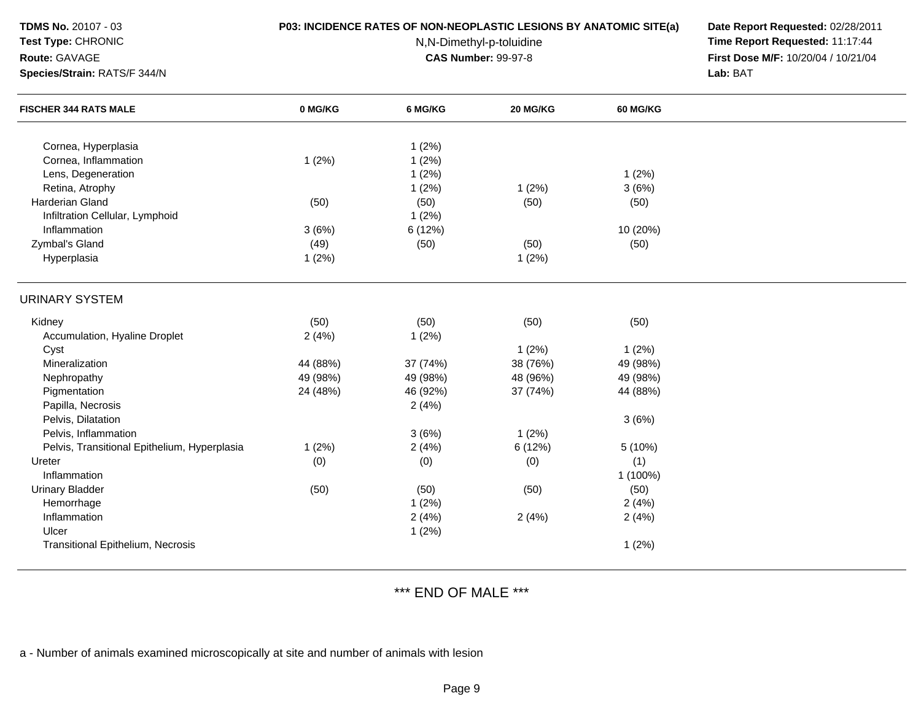## **Test Type:** CHRONIC

#### **Route:** GAVAGE

**Species/Strain:** RATS/F 344/N

## **P03: INCIDENCE RATES OF NON-NEOPLASTIC LESIONS BY ANATOMIC SITE(a) Date Report Requested:** 02/28/2011

N,N-Dimethyl-p-toluidine

 **Time Report Requested:** 11:17:44 **First Dose M/F:** 10/20/04 / 10/21/04<br>**Lab:** BAT **Lab:** BAT

| <b>FISCHER 344 RATS MALE</b>                 | 0 MG/KG  | 6 MG/KG  | 20 MG/KG | <b>60 MG/KG</b> |  |
|----------------------------------------------|----------|----------|----------|-----------------|--|
|                                              |          |          |          |                 |  |
| Cornea, Hyperplasia                          |          | 1(2%)    |          |                 |  |
| Cornea, Inflammation                         | 1(2%)    | 1(2%)    |          |                 |  |
| Lens, Degeneration                           |          | 1(2%)    |          | 1(2%)           |  |
| Retina, Atrophy                              |          | 1(2%)    | 1(2%)    | 3(6%)           |  |
| Harderian Gland                              | (50)     | (50)     | (50)     | (50)            |  |
| Infiltration Cellular, Lymphoid              |          | 1(2%)    |          |                 |  |
| Inflammation                                 | 3(6%)    | 6 (12%)  |          | 10 (20%)        |  |
| Zymbal's Gland                               | (49)     | (50)     | (50)     | (50)            |  |
| Hyperplasia                                  | 1(2%)    |          | 1(2%)    |                 |  |
| <b>URINARY SYSTEM</b>                        |          |          |          |                 |  |
| Kidney                                       | (50)     | (50)     | (50)     | (50)            |  |
| Accumulation, Hyaline Droplet                | 2(4%)    | 1(2%)    |          |                 |  |
| Cyst                                         |          |          | 1(2%)    | 1(2%)           |  |
| Mineralization                               | 44 (88%) | 37 (74%) | 38 (76%) | 49 (98%)        |  |
| Nephropathy                                  | 49 (98%) | 49 (98%) | 48 (96%) | 49 (98%)        |  |
| Pigmentation                                 | 24 (48%) | 46 (92%) | 37 (74%) | 44 (88%)        |  |
| Papilla, Necrosis                            |          | 2(4%)    |          |                 |  |
| Pelvis, Dilatation                           |          |          |          | 3(6%)           |  |
| Pelvis, Inflammation                         |          | 3(6%)    | 1(2%)    |                 |  |
| Pelvis, Transitional Epithelium, Hyperplasia | 1(2%)    | 2(4%)    | 6 (12%)  | 5 (10%)         |  |
| Ureter                                       | (0)      | (0)      | (0)      | (1)             |  |
| Inflammation                                 |          |          |          | 1 (100%)        |  |
| <b>Urinary Bladder</b>                       | (50)     | (50)     | (50)     | (50)            |  |
| Hemorrhage                                   |          | 1(2%)    |          | 2(4%)           |  |
| Inflammation                                 |          | 2(4%)    | 2(4%)    | 2(4%)           |  |
| Ulcer                                        |          | 1(2%)    |          |                 |  |
| Transitional Epithelium, Necrosis            |          |          |          | 1(2%)           |  |

\*\*\* END OF MALE \*\*\*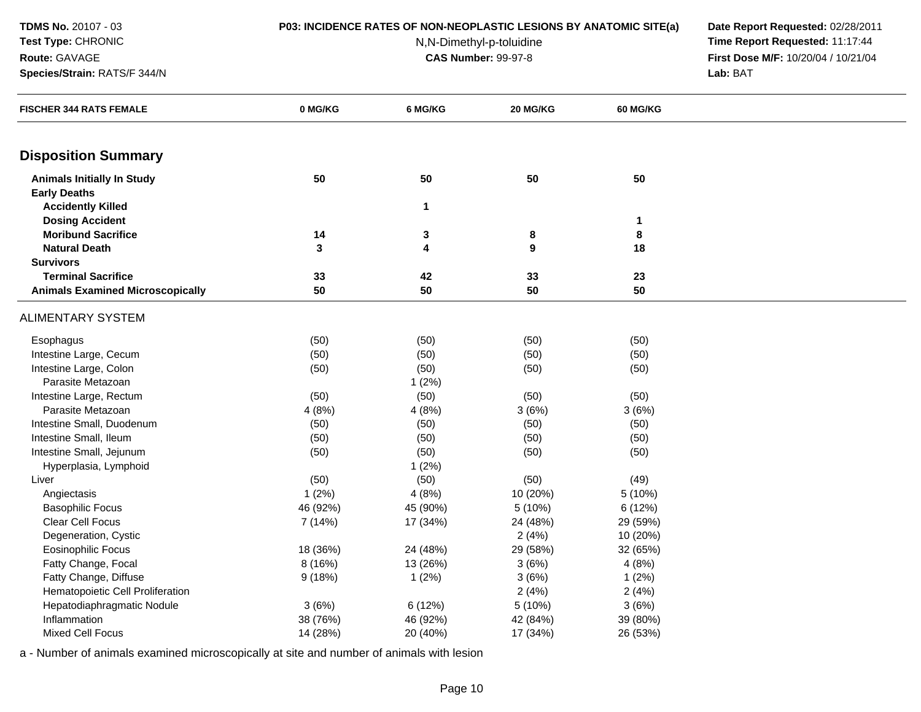**Route:** GAVAGE

## **Test Type:** CHRONIC

**Species/Strain:** RATS/F 344/N

# **P03: INCIDENCE RATES OF NON-NEOPLASTIC LESIONS BY ANATOMIC SITE(a) Date Report Requested:** 02/28/2011

N,N-Dimethyl-p-toluidine

 **Time Report Requested:** 11:17:44 **First Dose M/F:** 10/20/04 / 10/21/04<br>**Lab:** BAT **Lab:** BAT

| <b>FISCHER 344 RATS FEMALE</b>          | 0 MG/KG  | 6 MG/KG      | 20 MG/KG | 60 MG/KG |  |
|-----------------------------------------|----------|--------------|----------|----------|--|
|                                         |          |              |          |          |  |
| <b>Disposition Summary</b>              |          |              |          |          |  |
| <b>Animals Initially In Study</b>       | 50       | 50           | 50       | 50       |  |
| <b>Early Deaths</b>                     |          |              |          |          |  |
| <b>Accidently Killed</b>                |          | $\mathbf{1}$ |          |          |  |
| <b>Dosing Accident</b>                  |          |              |          | 1        |  |
| <b>Moribund Sacrifice</b>               | 14       | 3            | 8        | 8        |  |
| <b>Natural Death</b>                    | 3        | 4            | 9        | 18       |  |
| <b>Survivors</b>                        |          |              |          |          |  |
| <b>Terminal Sacrifice</b>               | 33       | 42           | 33       | 23       |  |
| <b>Animals Examined Microscopically</b> | 50       | 50           | 50       | 50       |  |
| <b>ALIMENTARY SYSTEM</b>                |          |              |          |          |  |
| Esophagus                               | (50)     | (50)         | (50)     | (50)     |  |
| Intestine Large, Cecum                  | (50)     | (50)         | (50)     | (50)     |  |
| Intestine Large, Colon                  | (50)     | (50)         | (50)     | (50)     |  |
| Parasite Metazoan                       |          | 1(2%)        |          |          |  |
| Intestine Large, Rectum                 | (50)     | (50)         | (50)     | (50)     |  |
| Parasite Metazoan                       | 4(8%)    | 4(8%)        | 3(6%)    | 3(6%)    |  |
| Intestine Small, Duodenum               | (50)     | (50)         | (50)     | (50)     |  |
| Intestine Small, Ileum                  | (50)     | (50)         | (50)     | (50)     |  |
| Intestine Small, Jejunum                | (50)     | (50)         | (50)     | (50)     |  |
| Hyperplasia, Lymphoid                   |          | 1(2%)        |          |          |  |
| Liver                                   | (50)     | (50)         | (50)     | (49)     |  |
| Angiectasis                             | 1(2%)    | 4(8%)        | 10 (20%) | 5(10%)   |  |
| <b>Basophilic Focus</b>                 | 46 (92%) | 45 (90%)     | 5 (10%)  | 6(12%)   |  |
| Clear Cell Focus                        | 7 (14%)  | 17 (34%)     | 24 (48%) | 29 (59%) |  |
| Degeneration, Cystic                    |          |              | 2(4%)    | 10 (20%) |  |
| <b>Eosinophilic Focus</b>               | 18 (36%) | 24 (48%)     | 29 (58%) | 32 (65%) |  |
| Fatty Change, Focal                     | 8 (16%)  | 13 (26%)     | 3(6%)    | 4(8%)    |  |
| Fatty Change, Diffuse                   | 9(18%)   | 1(2%)        | 3(6%)    | 1(2%)    |  |
| Hematopoietic Cell Proliferation        |          |              | 2(4%)    | 2(4%)    |  |
| Hepatodiaphragmatic Nodule              | 3(6%)    | 6 (12%)      | 5 (10%)  | 3(6%)    |  |
| Inflammation                            | 38 (76%) | 46 (92%)     | 42 (84%) | 39 (80%) |  |
| Mixed Cell Focus                        | 14 (28%) | 20 (40%)     | 17 (34%) | 26 (53%) |  |
|                                         |          |              |          |          |  |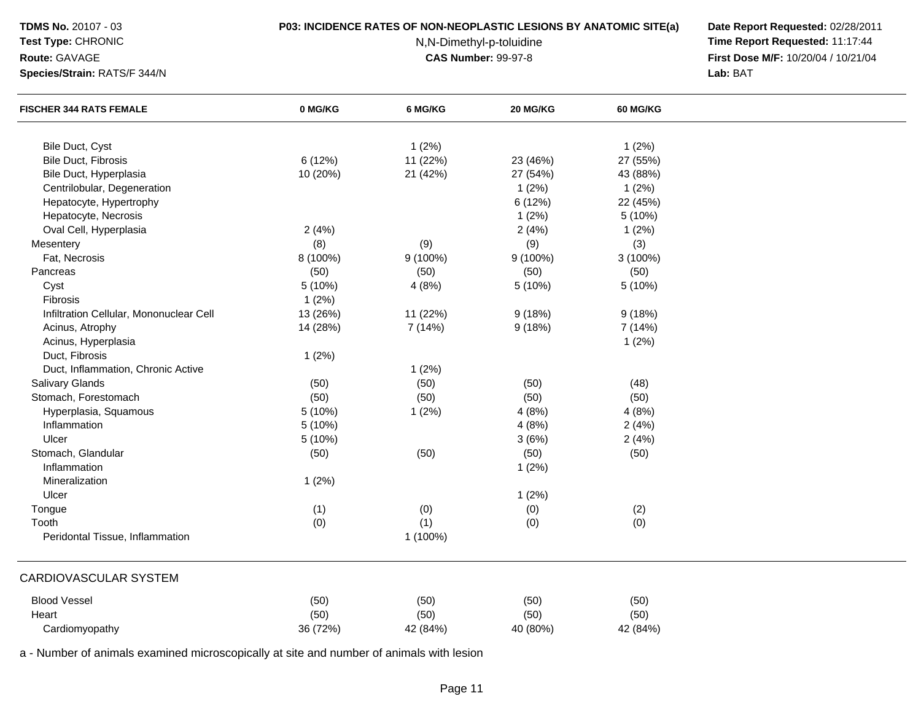## **Test Type:** CHRONIC

## **Route:** GAVAGE

**Species/Strain:** RATS/F 344/N

## **P03: INCIDENCE RATES OF NON-NEOPLASTIC LESIONS BY ANATOMIC SITE(a) Date Report Requested:** 02/28/2011

N,N-Dimethyl-p-toluidine

 **Time Report Requested:** 11:17:44 **First Dose M/F:** 10/20/04 / 10/21/04<br>**Lab:** BAT **Lab:** BAT

| <b>FISCHER 344 RATS FEMALE</b>          | 0 MG/KG  | 6 MG/KG    | 20 MG/KG | 60 MG/KG |  |
|-----------------------------------------|----------|------------|----------|----------|--|
|                                         |          |            |          |          |  |
| Bile Duct, Cyst                         |          | 1(2%)      |          | 1(2%)    |  |
| <b>Bile Duct, Fibrosis</b>              | 6(12%)   | 11 (22%)   | 23 (46%) | 27 (55%) |  |
| Bile Duct, Hyperplasia                  | 10 (20%) | 21 (42%)   | 27 (54%) | 43 (88%) |  |
| Centrilobular, Degeneration             |          |            | 1(2%)    | 1(2%)    |  |
| Hepatocyte, Hypertrophy                 |          |            | 6 (12%)  | 22 (45%) |  |
| Hepatocyte, Necrosis                    |          |            | 1(2%)    | 5 (10%)  |  |
| Oval Cell, Hyperplasia                  | 2(4%)    |            | 2(4%)    | 1(2%)    |  |
| Mesentery                               | (8)      | (9)        | (9)      | (3)      |  |
| Fat, Necrosis                           | 8 (100%) | $9(100\%)$ | 9 (100%) | 3 (100%) |  |
| Pancreas                                | (50)     | (50)       | (50)     | (50)     |  |
| Cyst                                    | 5 (10%)  | 4(8%)      | 5 (10%)  | 5 (10%)  |  |
| Fibrosis                                | 1(2%)    |            |          |          |  |
| Infiltration Cellular, Mononuclear Cell | 13 (26%) | 11 (22%)   | 9(18%)   | 9(18%)   |  |
| Acinus, Atrophy                         | 14 (28%) | 7(14%)     | 9(18%)   | 7 (14%)  |  |
| Acinus, Hyperplasia                     |          |            |          | 1(2%)    |  |
| Duct, Fibrosis                          | 1(2%)    |            |          |          |  |
| Duct, Inflammation, Chronic Active      |          | 1(2%)      |          |          |  |
| <b>Salivary Glands</b>                  | (50)     | (50)       | (50)     | (48)     |  |
| Stomach, Forestomach                    | (50)     | (50)       | (50)     | (50)     |  |
| Hyperplasia, Squamous                   | 5(10%)   | 1(2%)      | 4(8%)    | 4(8%)    |  |
| Inflammation                            | 5 (10%)  |            | 4(8%)    | 2(4%)    |  |
| Ulcer                                   | 5 (10%)  |            | 3(6%)    | 2(4%)    |  |
| Stomach, Glandular                      | (50)     | (50)       | (50)     | (50)     |  |
| Inflammation                            |          |            | 1(2%)    |          |  |
| Mineralization                          | 1(2%)    |            |          |          |  |
| Ulcer                                   |          |            | 1(2%)    |          |  |
| Tongue                                  | (1)      | (0)        | (0)      | (2)      |  |
| Tooth                                   | (0)      | (1)        | (0)      | (0)      |  |
| Peridontal Tissue, Inflammation         |          | 1 (100%)   |          |          |  |
| <b>CARDIOVASCULAR SYSTEM</b>            |          |            |          |          |  |
| <b>Blood Vessel</b>                     | (50)     | (50)       | (50)     | (50)     |  |
| Heart                                   | (50)     | (50)       | (50)     | (50)     |  |
| Cardiomyopathy                          | 36 (72%) | 42 (84%)   | 40 (80%) | 42 (84%) |  |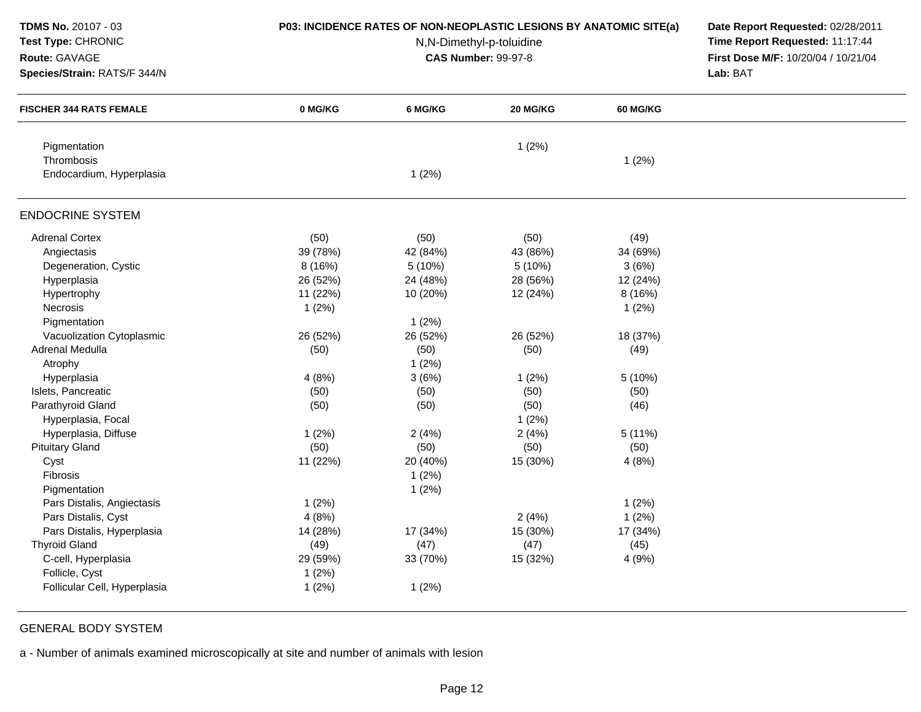| TDMS No. 20107 - 03            | P03: INCIDENCE RATES OF NON-NEOPLASTIC LESIONS BY ANATOMIC SITE(a) | Date Report Requested: 02/28/2011<br>Time Report Requested: 11:17:44 |          |           |          |  |
|--------------------------------|--------------------------------------------------------------------|----------------------------------------------------------------------|----------|-----------|----------|--|
| Test Type: CHRONIC             |                                                                    |                                                                      |          |           |          |  |
| Route: GAVAGE                  |                                                                    | N,N-Dimethyl-p-toluidine<br><b>CAS Number: 99-97-8</b>               |          |           |          |  |
| Species/Strain: RATS/F 344/N   |                                                                    |                                                                      |          |           | Lab: BAT |  |
| <b>FISCHER 344 RATS FEMALE</b> | 0 MG/KG                                                            | 6 MG/KG                                                              | 20 MG/KG | 60 MG/KG  |          |  |
| Pigmentation                   |                                                                    |                                                                      | 1(2%)    |           |          |  |
| Thrombosis                     |                                                                    |                                                                      |          | 1(2%)     |          |  |
| Endocardium, Hyperplasia       |                                                                    | 1(2%)                                                                |          |           |          |  |
| <b>ENDOCRINE SYSTEM</b>        |                                                                    |                                                                      |          |           |          |  |
| <b>Adrenal Cortex</b>          | (50)                                                               | (50)                                                                 | (50)     | (49)      |          |  |
| Angiectasis                    | 39 (78%)                                                           | 42 (84%)                                                             | 43 (86%) | 34 (69%)  |          |  |
| Degeneration, Cystic           | 8 (16%)                                                            | 5(10%)                                                               | 5(10%)   | 3(6%)     |          |  |
| Hyperplasia                    | 26 (52%)                                                           | 24 (48%)                                                             | 28 (56%) | 12 (24%)  |          |  |
| Hypertrophy                    | 11 (22%)                                                           | 10 (20%)                                                             | 12 (24%) | 8(16%)    |          |  |
| Necrosis                       | 1(2%)                                                              |                                                                      |          | 1(2%)     |          |  |
| Pigmentation                   |                                                                    | 1(2%)                                                                |          |           |          |  |
| Vacuolization Cytoplasmic      | 26 (52%)                                                           | 26 (52%)                                                             | 26 (52%) | 18 (37%)  |          |  |
| Adrenal Medulla                | (50)                                                               | (50)                                                                 | (50)     | (49)      |          |  |
| Atrophy                        |                                                                    | 1(2%)                                                                |          |           |          |  |
| Hyperplasia                    | 4(8%)                                                              | 3(6%)                                                                | 1(2%)    | 5(10%)    |          |  |
| Islets, Pancreatic             | (50)                                                               | (50)                                                                 | (50)     | (50)      |          |  |
| Parathyroid Gland              | (50)                                                               | (50)                                                                 | (50)     | (46)      |          |  |
| Hyperplasia, Focal             |                                                                    |                                                                      | 1(2%)    |           |          |  |
| Hyperplasia, Diffuse           | 1(2%)                                                              | 2(4%)                                                                | 2(4%)    | $5(11\%)$ |          |  |
| <b>Pituitary Gland</b>         | (50)                                                               | (50)                                                                 | (50)     | (50)      |          |  |
| Cyst                           | 11 (22%)                                                           | 20 (40%)                                                             | 15 (30%) | 4(8%)     |          |  |
| Fibrosis                       |                                                                    | 1(2%)                                                                |          |           |          |  |
| Pigmentation                   |                                                                    | 1(2%)                                                                |          |           |          |  |
| Pars Distalis, Angiectasis     | 1(2%)                                                              |                                                                      |          | 1(2%)     |          |  |
| Pars Distalis, Cyst            | 4(8%)                                                              |                                                                      | 2(4%)    | 1(2%)     |          |  |
| Pars Distalis, Hyperplasia     | 14 (28%)                                                           | 17 (34%)                                                             | 15 (30%) | 17 (34%)  |          |  |
| <b>Thyroid Gland</b>           | (49)                                                               | (47)                                                                 | (47)     | (45)      |          |  |
| C-cell, Hyperplasia            | 29 (59%)                                                           | 33 (70%)                                                             | 15 (32%) | 4(9%)     |          |  |
| Follicle, Cyst                 | 1(2%)                                                              |                                                                      |          |           |          |  |
| Follicular Cell, Hyperplasia   | 1(2%)                                                              | 1(2%)                                                                |          |           |          |  |
|                                |                                                                    |                                                                      |          |           |          |  |

GENERAL BODY SYSTEM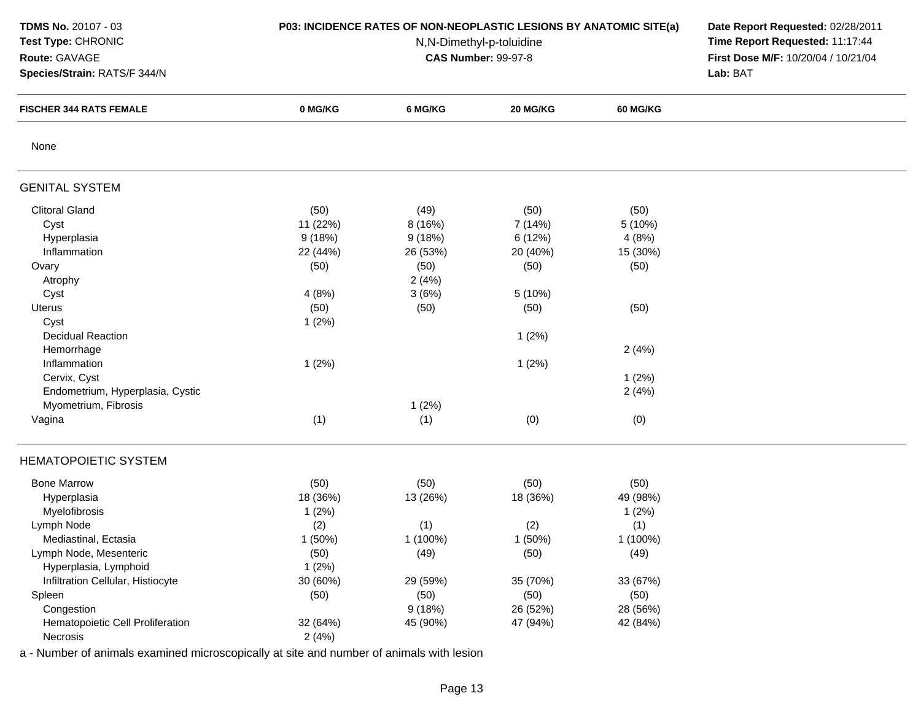| TDMS No. 20107 - 03<br>Test Type: CHRONIC<br>Route: GAVAGE<br>Species/Strain: RATS/F 344/N | P03: INCIDENCE RATES OF NON-NEOPLASTIC LESIONS BY ANATOMIC SITE(a) | Date Report Requested: 02/28/2011<br>Time Report Requested: 11:17:44<br>First Dose M/F: 10/20/04 / 10/21/04<br>Lab: BAT |          |                 |  |
|--------------------------------------------------------------------------------------------|--------------------------------------------------------------------|-------------------------------------------------------------------------------------------------------------------------|----------|-----------------|--|
| <b>FISCHER 344 RATS FEMALE</b>                                                             | 0 MG/KG                                                            | 6 MG/KG                                                                                                                 | 20 MG/KG | <b>60 MG/KG</b> |  |
| None                                                                                       |                                                                    |                                                                                                                         |          |                 |  |
| <b>GENITAL SYSTEM</b>                                                                      |                                                                    |                                                                                                                         |          |                 |  |
| <b>Clitoral Gland</b>                                                                      | (50)                                                               | (49)                                                                                                                    | (50)     | (50)            |  |
| Cyst                                                                                       | 11 (22%)                                                           | 8(16%)                                                                                                                  | 7 (14%)  | 5 (10%)         |  |
| Hyperplasia                                                                                | 9(18%)                                                             | 9(18%)                                                                                                                  | 6 (12%)  | 4(8%)           |  |
| Inflammation                                                                               | 22 (44%)                                                           | 26 (53%)                                                                                                                | 20 (40%) | 15 (30%)        |  |
| Ovary                                                                                      | (50)                                                               | (50)                                                                                                                    | (50)     | (50)            |  |
| Atrophy                                                                                    |                                                                    | 2(4%)                                                                                                                   |          |                 |  |
| Cyst                                                                                       | 4(8%)                                                              | 3(6%)                                                                                                                   | 5 (10%)  |                 |  |
| Uterus                                                                                     | (50)                                                               | (50)                                                                                                                    | (50)     | (50)            |  |
| Cyst                                                                                       | 1(2%)                                                              |                                                                                                                         |          |                 |  |
| <b>Decidual Reaction</b>                                                                   |                                                                    |                                                                                                                         | 1(2%)    |                 |  |
| Hemorrhage                                                                                 |                                                                    |                                                                                                                         |          | 2(4%)           |  |
| Inflammation                                                                               | 1(2%)                                                              |                                                                                                                         | 1(2%)    |                 |  |
| Cervix, Cyst                                                                               |                                                                    |                                                                                                                         |          | 1(2%)           |  |
| Endometrium, Hyperplasia, Cystic                                                           |                                                                    |                                                                                                                         |          | 2(4%)           |  |
| Myometrium, Fibrosis                                                                       |                                                                    | 1(2%)                                                                                                                   |          |                 |  |
| Vagina                                                                                     | (1)                                                                | (1)                                                                                                                     | (0)      | (0)             |  |
| <b>HEMATOPOIETIC SYSTEM</b>                                                                |                                                                    |                                                                                                                         |          |                 |  |
| <b>Bone Marrow</b>                                                                         | (50)                                                               | (50)                                                                                                                    | (50)     | (50)            |  |
| Hyperplasia                                                                                | 18 (36%)                                                           | 13 (26%)                                                                                                                | 18 (36%) | 49 (98%)        |  |
| Myelofibrosis                                                                              | 1(2%)                                                              |                                                                                                                         |          | 1(2%)           |  |
| Lymph Node                                                                                 | (2)                                                                | (1)                                                                                                                     | (2)      | (1)             |  |
| Mediastinal, Ectasia                                                                       | 1(50%)                                                             | 1 (100%)                                                                                                                | 1 (50%)  | 1 (100%)        |  |
| Lymph Node, Mesenteric                                                                     | (50)                                                               | (49)                                                                                                                    | (50)     | (49)            |  |
| Hyperplasia, Lymphoid                                                                      | 1(2%)                                                              |                                                                                                                         |          |                 |  |
| Infiltration Cellular, Histiocyte                                                          | 30 (60%)                                                           | 29 (59%)                                                                                                                | 35 (70%) | 33 (67%)        |  |
| Spleen                                                                                     | (50)                                                               | (50)                                                                                                                    | (50)     | (50)            |  |
| Congestion                                                                                 |                                                                    | 9(18%)                                                                                                                  | 26 (52%) | 28 (56%)        |  |
| Hematopoietic Cell Proliferation                                                           | 32 (64%)                                                           | 45 (90%)                                                                                                                | 47 (94%) | 42 (84%)        |  |
| Necrosis                                                                                   | 2(4%)                                                              |                                                                                                                         |          |                 |  |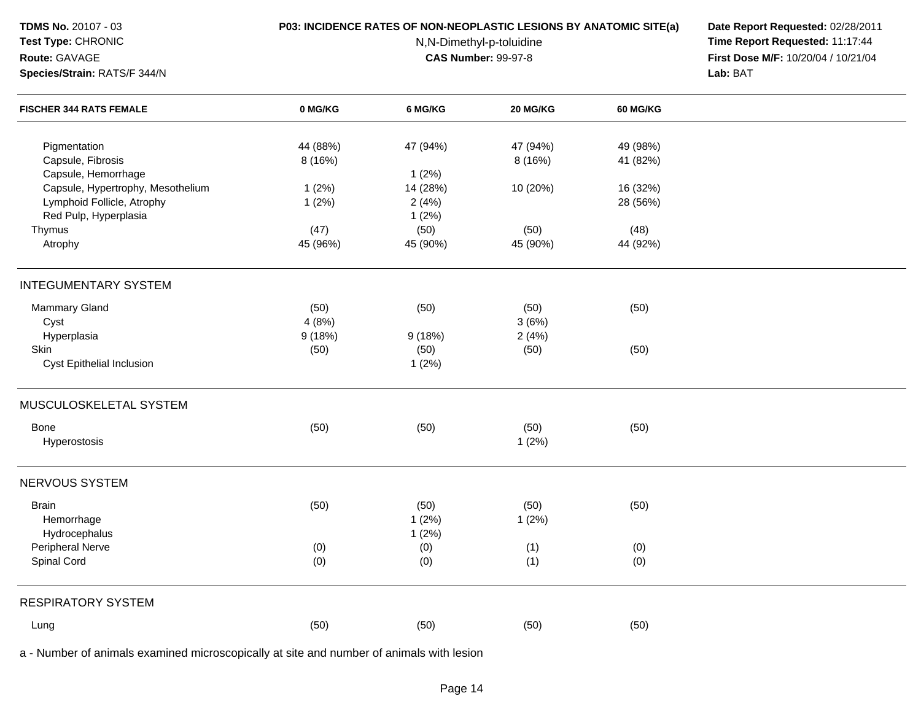| <b>TDMS No. 20107 - 03</b><br>Test Type: CHRONIC<br>Route: GAVAGE<br>Species/Strain: RATS/F 344/N | <b>P03: INCIDENCE RATES OF NON-NEOPLASTIC LESIONS BY ANATOMIC SITE(a)</b> | Date Report Requested: 02/28/2011<br>Time Report Requested: 11:17:44<br>First Dose M/F: 10/20/04 / 10/21/04<br>Lab: BAT |          |                 |  |
|---------------------------------------------------------------------------------------------------|---------------------------------------------------------------------------|-------------------------------------------------------------------------------------------------------------------------|----------|-----------------|--|
| <b>FISCHER 344 RATS FEMALE</b>                                                                    | 0 MG/KG                                                                   | 6 MG/KG                                                                                                                 | 20 MG/KG | <b>60 MG/KG</b> |  |
| Pigmentation                                                                                      | 44 (88%)                                                                  | 47 (94%)                                                                                                                | 47 (94%) | 49 (98%)        |  |
| Capsule, Fibrosis                                                                                 | 8 (16%)                                                                   |                                                                                                                         | 8(16%)   | 41 (82%)        |  |
| Capsule, Hemorrhage                                                                               |                                                                           | 1(2%)                                                                                                                   |          |                 |  |
| Capsule, Hypertrophy, Mesothelium                                                                 | 1(2%)                                                                     | 14 (28%)                                                                                                                | 10 (20%) | 16 (32%)        |  |
| Lymphoid Follicle, Atrophy                                                                        | 1(2%)                                                                     | 2(4%)                                                                                                                   |          | 28 (56%)        |  |
| Red Pulp, Hyperplasia                                                                             |                                                                           | 1(2%)                                                                                                                   |          |                 |  |
| Thymus                                                                                            | (47)                                                                      | (50)                                                                                                                    | (50)     | (48)            |  |
| Atrophy                                                                                           | 45 (96%)                                                                  | 45 (90%)                                                                                                                | 45 (90%) | 44 (92%)        |  |
| <b>INTEGUMENTARY SYSTEM</b>                                                                       |                                                                           |                                                                                                                         |          |                 |  |
| Mammary Gland                                                                                     | (50)                                                                      | (50)                                                                                                                    | (50)     | (50)            |  |
| Cyst                                                                                              | 4(8%)                                                                     |                                                                                                                         | 3(6%)    |                 |  |
| Hyperplasia                                                                                       | 9(18%)                                                                    | 9(18%)                                                                                                                  | 2(4%)    |                 |  |
| Skin                                                                                              | (50)                                                                      | (50)                                                                                                                    | (50)     | (50)            |  |
| Cyst Epithelial Inclusion                                                                         |                                                                           | 1(2%)                                                                                                                   |          |                 |  |
| MUSCULOSKELETAL SYSTEM                                                                            |                                                                           |                                                                                                                         |          |                 |  |
| Bone                                                                                              | (50)                                                                      | (50)                                                                                                                    | (50)     | (50)            |  |
| Hyperostosis                                                                                      |                                                                           |                                                                                                                         | 1(2%)    |                 |  |
| NERVOUS SYSTEM                                                                                    |                                                                           |                                                                                                                         |          |                 |  |
| <b>Brain</b>                                                                                      | (50)                                                                      | (50)                                                                                                                    | (50)     | (50)            |  |
| Hemorrhage                                                                                        |                                                                           | 1(2%)                                                                                                                   | 1(2%)    |                 |  |
| Hydrocephalus                                                                                     |                                                                           | 1(2%)                                                                                                                   |          |                 |  |
| Peripheral Nerve                                                                                  | (0)                                                                       | (0)                                                                                                                     | (1)      | (0)             |  |
| Spinal Cord                                                                                       | (0)                                                                       | (0)                                                                                                                     | (1)      | (0)             |  |
|                                                                                                   |                                                                           |                                                                                                                         |          |                 |  |
| <b>RESPIRATORY SYSTEM</b>                                                                         |                                                                           |                                                                                                                         |          |                 |  |
| Lung                                                                                              | (50)                                                                      | (50)                                                                                                                    | (50)     | (50)            |  |
|                                                                                                   |                                                                           |                                                                                                                         |          |                 |  |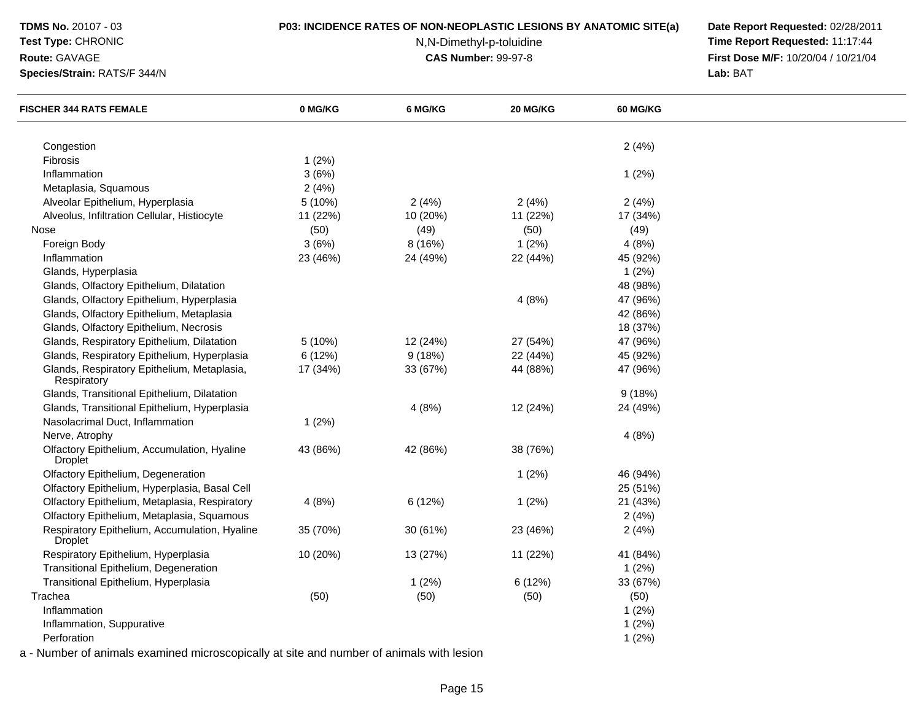## **Test Type:** CHRONIC

#### **Route:** GAVAGE

**Species/Strain:** RATS/F 344/N

## **P03: INCIDENCE RATES OF NON-NEOPLASTIC LESIONS BY ANATOMIC SITE(a) Date Report Requested:** 02/28/2011

N,N-Dimethyl-p-toluidine

 **Time Report Requested:** 11:17:44 **First Dose M/F:** 10/20/04 / 10/21/04<br>**Lab:** BAT **Lab:** BAT

| <b>FISCHER 344 RATS FEMALE</b>                                  | 0 MG/KG  | 6 MG/KG  | 20 MG/KG | <b>60 MG/KG</b> |  |
|-----------------------------------------------------------------|----------|----------|----------|-----------------|--|
|                                                                 |          |          |          |                 |  |
| Congestion                                                      |          |          |          | 2(4%)           |  |
| Fibrosis                                                        | 1(2%)    |          |          |                 |  |
| Inflammation                                                    | 3(6%)    |          |          | 1(2%)           |  |
| Metaplasia, Squamous                                            | 2(4%)    |          |          |                 |  |
| Alveolar Epithelium, Hyperplasia                                | 5 (10%)  | 2(4%)    | 2(4%)    | 2(4%)           |  |
| Alveolus, Infiltration Cellular, Histiocyte                     | 11 (22%) | 10 (20%) | 11 (22%) | 17 (34%)        |  |
| Nose                                                            | (50)     | (49)     | (50)     | (49)            |  |
| Foreign Body                                                    | 3(6%)    | 8 (16%)  | 1(2%)    | 4(8%)           |  |
| Inflammation                                                    | 23 (46%) | 24 (49%) | 22 (44%) | 45 (92%)        |  |
| Glands, Hyperplasia                                             |          |          |          | 1(2%)           |  |
| Glands, Olfactory Epithelium, Dilatation                        |          |          |          | 48 (98%)        |  |
| Glands, Olfactory Epithelium, Hyperplasia                       |          |          | 4(8%)    | 47 (96%)        |  |
| Glands, Olfactory Epithelium, Metaplasia                        |          |          |          | 42 (86%)        |  |
| Glands, Olfactory Epithelium, Necrosis                          |          |          |          | 18 (37%)        |  |
| Glands, Respiratory Epithelium, Dilatation                      | 5 (10%)  | 12 (24%) | 27 (54%) | 47 (96%)        |  |
| Glands, Respiratory Epithelium, Hyperplasia                     | 6(12%)   | 9(18%)   | 22 (44%) | 45 (92%)        |  |
| Glands, Respiratory Epithelium, Metaplasia,<br>Respiratory      | 17 (34%) | 33 (67%) | 44 (88%) | 47 (96%)        |  |
| Glands, Transitional Epithelium, Dilatation                     |          |          |          | 9(18%)          |  |
| Glands, Transitional Epithelium, Hyperplasia                    |          | 4(8%)    | 12 (24%) | 24 (49%)        |  |
| Nasolacrimal Duct, Inflammation                                 | 1(2%)    |          |          |                 |  |
| Nerve, Atrophy                                                  |          |          |          | 4(8%)           |  |
| Olfactory Epithelium, Accumulation, Hyaline<br><b>Droplet</b>   | 43 (86%) | 42 (86%) | 38 (76%) |                 |  |
| Olfactory Epithelium, Degeneration                              |          |          | 1(2%)    | 46 (94%)        |  |
| Olfactory Epithelium, Hyperplasia, Basal Cell                   |          |          |          | 25 (51%)        |  |
| Olfactory Epithelium, Metaplasia, Respiratory                   | 4(8%)    | 6(12%)   | 1(2%)    | 21 (43%)        |  |
| Olfactory Epithelium, Metaplasia, Squamous                      |          |          |          | 2(4%)           |  |
| Respiratory Epithelium, Accumulation, Hyaline<br><b>Droplet</b> | 35 (70%) | 30 (61%) | 23 (46%) | 2(4%)           |  |
| Respiratory Epithelium, Hyperplasia                             | 10 (20%) | 13 (27%) | 11 (22%) | 41 (84%)        |  |
| Transitional Epithelium, Degeneration                           |          |          |          | 1(2%)           |  |
| Transitional Epithelium, Hyperplasia                            |          | 1(2%)    | 6(12%)   | 33 (67%)        |  |
| Trachea                                                         | (50)     | (50)     | (50)     | (50)            |  |
| Inflammation                                                    |          |          |          | 1(2%)           |  |
| Inflammation, Suppurative                                       |          |          |          | 1(2%)           |  |
| Perforation                                                     |          |          |          | 1(2%)           |  |
|                                                                 |          |          |          |                 |  |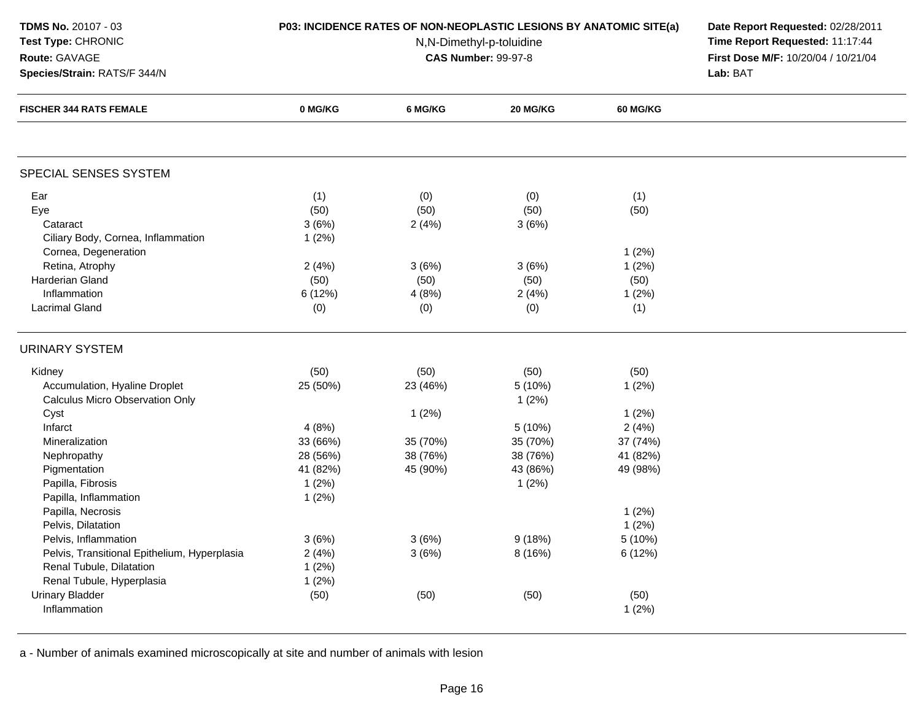# **Test Type:** CHRONIC

## **Route:** GAVAGE

**Species/Strain:** RATS/F 344/N

## **P03: INCIDENCE RATES OF NON-NEOPLASTIC LESIONS BY ANATOMIC SITE(a) Date Report Requested:** 02/28/2011

N,N-Dimethyl-p-toluidine

 **Time Report Requested:** 11:17:44 **First Dose M/F:** 10/20/04 / 10/21/04<br>**Lab:** BAT **Lab:** BAT

| <b>FISCHER 344 RATS FEMALE</b>               | 0 MG/KG  | 6 MG/KG  | 20 MG/KG | 60 MG/KG |  |
|----------------------------------------------|----------|----------|----------|----------|--|
|                                              |          |          |          |          |  |
| SPECIAL SENSES SYSTEM                        |          |          |          |          |  |
| Ear                                          | (1)      | (0)      | (0)      | (1)      |  |
| Eye                                          | (50)     | (50)     | (50)     | (50)     |  |
| Cataract                                     | 3(6%)    | 2(4%)    | 3(6%)    |          |  |
| Ciliary Body, Cornea, Inflammation           | 1(2%)    |          |          |          |  |
| Cornea, Degeneration                         |          |          |          | 1(2%)    |  |
| Retina, Atrophy                              | 2(4%)    | 3(6%)    | 3(6%)    | 1(2%)    |  |
| <b>Harderian Gland</b>                       | (50)     | (50)     | (50)     | (50)     |  |
| Inflammation                                 | 6 (12%)  | 4(8%)    | 2(4%)    | 1(2%)    |  |
| <b>Lacrimal Gland</b>                        | (0)      | (0)      | (0)      | (1)      |  |
| <b>URINARY SYSTEM</b>                        |          |          |          |          |  |
| Kidney                                       | (50)     | (50)     | (50)     | (50)     |  |
| Accumulation, Hyaline Droplet                | 25 (50%) | 23 (46%) | 5 (10%)  | 1(2%)    |  |
| <b>Calculus Micro Observation Only</b>       |          |          | 1(2%)    |          |  |
| Cyst                                         |          | 1(2%)    |          | 1(2%)    |  |
| Infarct                                      | 4(8%)    |          | 5(10%)   | 2(4%)    |  |
| Mineralization                               | 33 (66%) | 35 (70%) | 35 (70%) | 37 (74%) |  |
| Nephropathy                                  | 28 (56%) | 38 (76%) | 38 (76%) | 41 (82%) |  |
| Pigmentation                                 | 41 (82%) | 45 (90%) | 43 (86%) | 49 (98%) |  |
| Papilla, Fibrosis                            | 1(2%)    |          | 1(2%)    |          |  |
| Papilla, Inflammation                        | 1(2%)    |          |          |          |  |
| Papilla, Necrosis                            |          |          |          | 1(2%)    |  |
| Pelvis, Dilatation                           |          |          |          | 1(2%)    |  |
| Pelvis, Inflammation                         | 3(6%)    | 3(6%)    | 9(18%)   | 5 (10%)  |  |
| Pelvis, Transitional Epithelium, Hyperplasia | 2(4%)    | 3(6%)    | 8 (16%)  | 6 (12%)  |  |
| Renal Tubule, Dilatation                     | 1(2%)    |          |          |          |  |
| Renal Tubule, Hyperplasia                    | 1(2%)    |          |          |          |  |
| <b>Urinary Bladder</b>                       | (50)     | (50)     | (50)     | (50)     |  |
| Inflammation                                 |          |          |          | 1(2%)    |  |